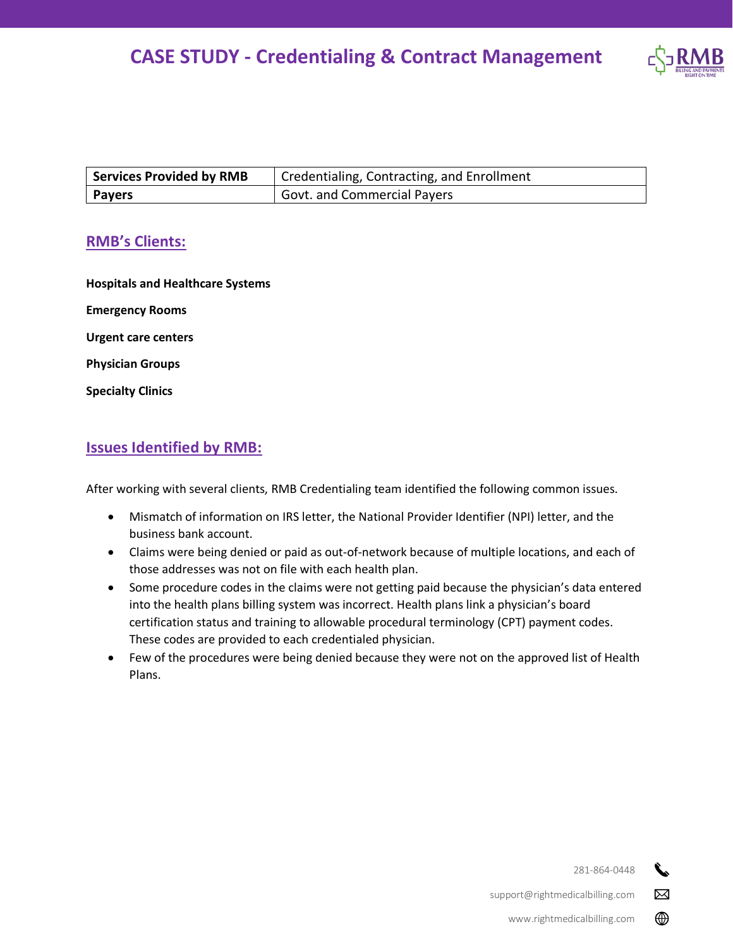

| <b>Services Provided by RMB</b> | Credentialing, Contracting, and Enrollment |
|---------------------------------|--------------------------------------------|
| Payers                          | <b>Govt. and Commercial Payers</b>         |

#### **RMB's Clients:**

**Hospitals and Healthcare Systems Emergency Rooms Urgent care centers Physician Groups Specialty Clinics**

#### **Issues Identified by RMB:**

After working with several clients, RMB Credentialing team identified the following common issues.

- Mismatch of information on IRS letter, the National Provider Identifier (NPI) letter, and the business bank account.
- Claims were being denied or paid as out-of-network because of multiple locations, and each of those addresses was not on file with each health plan.
- Some procedure codes in the claims were not getting paid because the physician's data entered into the health plans billing system was incorrect. Health plans link a physician's board certification status and training to allowable procedural terminology (CPT) payment codes. These codes are provided to each credentialed physician.
- Few of the procedures were being denied because they were not on the approved list of Health Plans.

281-864-0448

 $\boxtimes$ 

⊕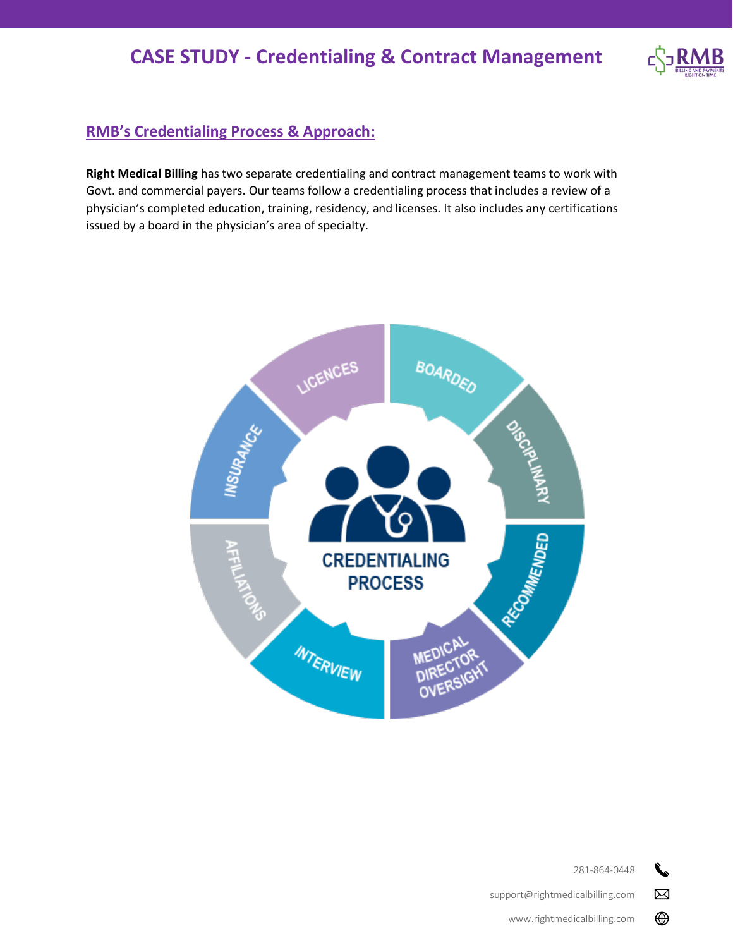

### **RMB's Credentialing Process & Approach:**

**Right Medical Billing** has two separate credentialing and contract management teams to work with Govt. and commercial payers. Our teams follow a credentialing process that includes a review of a physician's completed education, training, residency, and licenses. It also includes any certifications issued by a board in the physician's area of specialty.



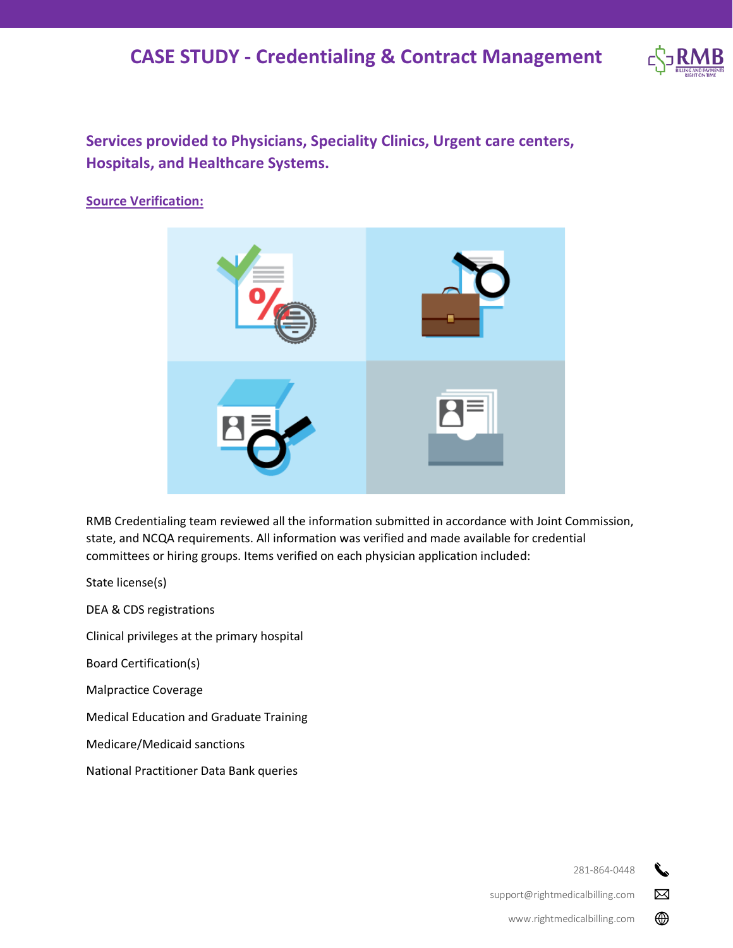## **CASE STUDY - Credentialing & Contract Management**



**Services provided to Physicians, Speciality Clinics, Urgent care centers, Hospitals, and Healthcare Systems.**

#### **Source Verification:**



RMB Credentialing team reviewed all the information submitted in accordance with Joint Commission, state, and NCQA requirements. All information was verified and made available for credential committees or hiring groups. Items verified on each physician application included:

State license(s)

DEA & CDS registrations

Clinical privileges at the primary hospital

Board Certification(s)

Malpractice Coverage

Medical Education and Graduate Training

Medicare/Medicaid sanctions

National Practitioner Data Bank queries

281-864-0448

 $\boxtimes$ ⊕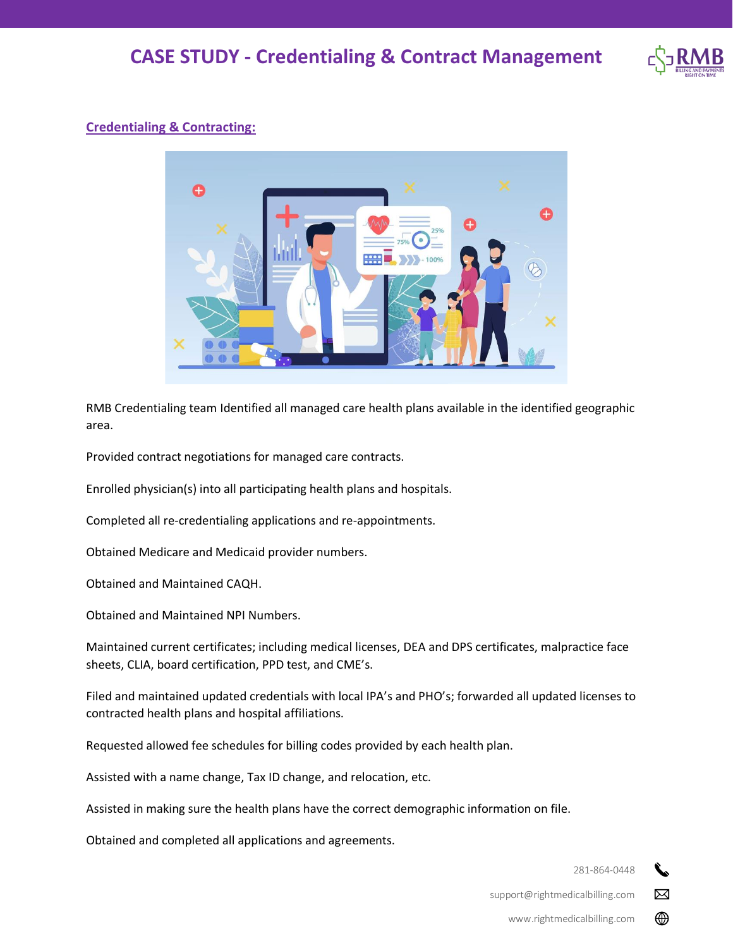

### **Credentialing & Contracting:**



RMB Credentialing team Identified all managed care health plans available in the identified geographic area.

Provided contract negotiations for managed care contracts.

Enrolled physician(s) into all participating health plans and hospitals.

Completed all re-credentialing applications and re-appointments.

Obtained Medicare and Medicaid provider numbers.

Obtained and Maintained CAQH.

Obtained and Maintained NPI Numbers.

Maintained current certificates; including medical licenses, DEA and DPS certificates, malpractice face sheets, CLIA, board certification, PPD test, and CME's.

Filed and maintained updated credentials with local IPA's and PHO's; forwarded all updated licenses to contracted health plans and hospital affiliations.

Requested allowed fee schedules for billing codes provided by each health plan.

Assisted with a name change, Tax ID change, and relocation, etc.

Assisted in making sure the health plans have the correct demographic information on file.

Obtained and completed all applications and agreements.

281-864-0448

 $\boxtimes$ 

⊕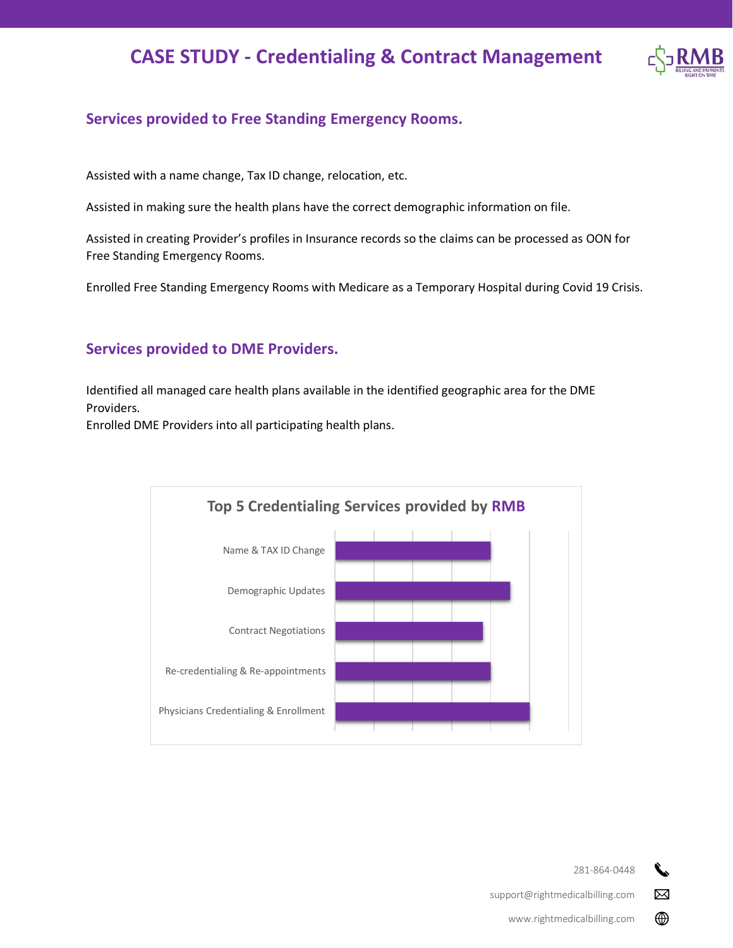# **CASE STUDY - Credentialing & Contract Management**



#### **Services provided to Free Standing Emergency Rooms.**

Assisted with a name change, Tax ID change, relocation, etc.

Assisted in making sure the health plans have the correct demographic information on file.

Assisted in creating Provider's profiles in Insurance records so the claims can be processed as OON for Free Standing Emergency Rooms.

Enrolled Free Standing Emergency Rooms with Medicare as a Temporary Hospital during Covid 19 Crisis.

#### **Services provided to DME Providers.**

Identified all managed care health plans available in the identified geographic area for the DME Providers.

Enrolled DME Providers into all participating health plans.



281-864-0448

 $\boxtimes$ 

⊕

support@rightmedicalbilling.com

www.rightmedicalbilling.com